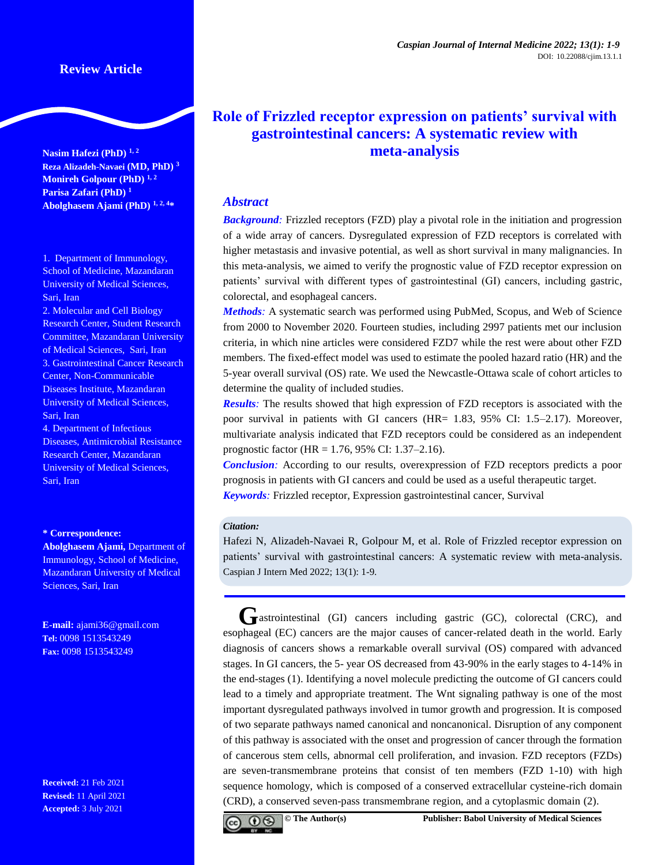**Nasim Hafezi (PhD) 1, <sup>2</sup> Reza Alizadeh-Navaei (MD, PhD) <sup>3</sup> Monireh Golpour (PhD) 1, <sup>2</sup> Parisa Zafari (PhD) 1 Abolghasem Ajami (PhD) 1, 2, <sup>4</sup>\***

1. Department of Immunology, School of Medicine, Mazandaran University of Medical Sciences, Sari, Iran

2. Molecular and Cell Biology Research Center, Student Research Committee, Mazandaran University of Medical Sciences, Sari, Iran 3. Gastrointestinal Cancer Research Center, Non-Communicable Diseases Institute, Mazandaran University of Medical Sciences, Sari, Iran

4. Department of Infectious Diseases, Antimicrobial Resistance Research Center, Mazandaran University of Medical Sciences, Sari, Iran

#### **\* Correspondence:**

**Abolghasem Ajami,** Department of Immunology, School of Medicine, Mazandaran University of Medical Sciences, Sari, Iran

**E-mail:** [ajami36@gmail.com](mailto:ajami36@gmail.com) **Tel:** 0098 1513543249 **Fax:** 0098 1513543249

**Received:** 21 Feb 2021 **Revised:** 11 April 2021 **Accepted:** 3 July 2021

# **Role of Frizzled receptor expression on patients' survival with gastrointestinal cancers: A systematic review with meta-analysis**

### *Abstract*

*Background:* Frizzled receptors (FZD) play a pivotal role in the initiation and progression of a wide array of cancers. Dysregulated expression of FZD receptors is correlated with higher metastasis and invasive potential, as well as short survival in many malignancies. In this meta-analysis, we aimed to verify the prognostic value of FZD receptor expression on patients' survival with different types of gastrointestinal (GI) cancers, including gastric, colorectal, and esophageal cancers.

*Methods:* A systematic search was performed using PubMed, Scopus, and Web of Science from 2000 to November 2020. Fourteen studies, including 2997 patients met our inclusion criteria, in which nine articles were considered FZD7 while the rest were about other FZD members. The fixed-effect model was used to estimate the pooled hazard ratio (HR) and the 5-year overall survival (OS) rate. We used the Newcastle-Ottawa scale of cohort articles to determine the quality of included studies.

*Results:* The results showed that high expression of FZD receptors is associated with the poor survival in patients with GI cancers (HR= 1.83, 95% CI: 1.5–2.17). Moreover, multivariate analysis indicated that FZD receptors could be considered as an independent prognostic factor (HR = 1.76, 95% CI: 1.37–2.16).

*Conclusion:* According to our results, overexpression of FZD receptors predicts a poor prognosis in patients with GI cancers and could be used as a useful therapeutic target. *Keywords:* Frizzled receptor, Expression gastrointestinal cancer, Survival

#### *Citation:*

Hafezi N, Alizadeh-Navaei R, Golpour M, et al. Role of Frizzled receptor expression on patients' survival with gastrointestinal cancers: A systematic review with meta-analysis. Caspian J Intern Med 2022; 13(1): 1-9.

GRASTROINTEST **GI** CHI cancers including gastric (GC), colorectal (CRC), and esophageal (EC) cancers are the major causes of cancer-related death in the world. Early diagnosis of cancers shows a remarkable overall survival (OS) compared with advanced stages. In GI cancers, the 5- year OS decreased from 43-90% in the early stages to 4-14% in the end-stages [\(1\)](#page-7-0). Identifying a novel molecule predicting the outcome of GI cancers could lead to a timely and appropriate treatment. The Wnt signaling pathway is one of the most important dysregulated pathways involved in tumor growth and progression. It is composed of two separate pathways named canonical and noncanonical. Disruption of any component of this pathway is associated with the onset and progression of cancer through the formation of cancerous stem cells, abnormal cell proliferation, and invasion. FZD receptors (FZDs) are seven-transmembrane proteins that consist of ten members (FZD 1-10) with high sequence homology, which is composed of a conserved extracellular cysteine-rich domain (CRD), a conserved seven-pass transmembrane region, and a cytoplasmic domain [\(2\)](#page-7-1).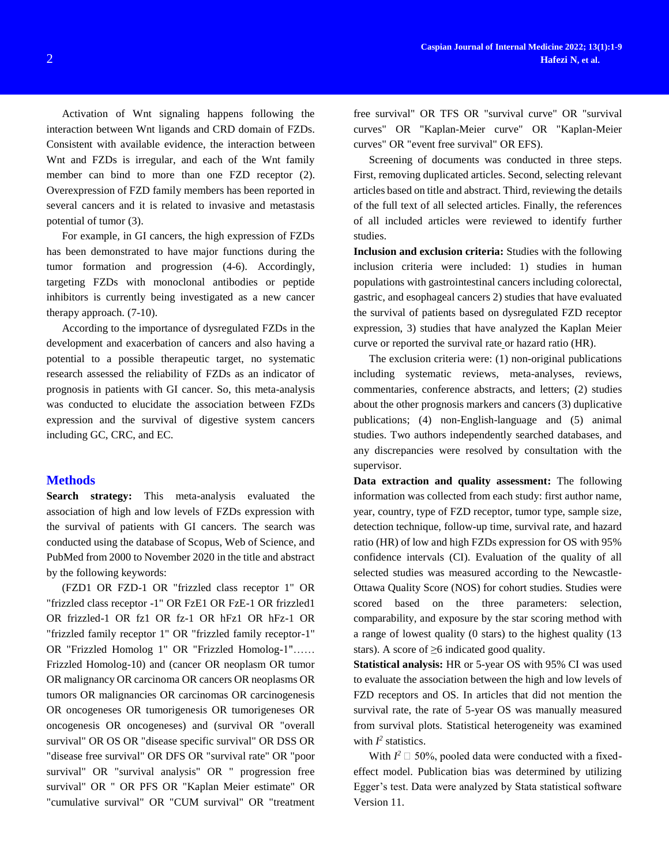Activation of Wnt signaling happens following the interaction between Wnt ligands and CRD domain of FZDs. Consistent with available evidence, the interaction between Wnt and FZDs is irregular, and each of the Wnt family member can bind to more than one FZD receptor [\(2\)](#page-7-1). Overexpression of FZD family members has been reported in several cancers and it is related to invasive and metastasis potential of tumor [\(3\)](#page-7-2).

For example, in GI cancers, the high expression of FZDs has been demonstrated to have major functions during the tumor formation and progression [\(4-6\)](#page-7-3). Accordingly, targeting FZDs with monoclonal antibodies or peptide inhibitors is currently being investigated as a new cancer therapy approach. [\(7-10\)](#page-7-4).

According to the importance of dysregulated FZDs in the development and exacerbation of cancers and also having a potential to a possible therapeutic target, no systematic research assessed the reliability of FZDs as an indicator of prognosis in patients with GI cancer. So, this meta-analysis was conducted to elucidate the association between FZDs expression and the survival of digestive system cancers including GC, CRC, and EC.

### **Methods**

**Search strategy:** This meta-analysis evaluated the association of high and low levels of FZDs expression with the survival of patients with GI cancers. The search was conducted using the database of Scopus, Web of Science, and PubMed from 2000 to November 2020 in the title and abstract by the following keywords:

(FZD1 OR FZD-1 OR "frizzled class receptor 1" OR "frizzled class receptor -1" OR FzE1 OR FzE-1 OR frizzled1 OR frizzled-1 OR fz1 OR fz-1 OR hFz1 OR hFz-1 OR "frizzled family receptor 1" OR "frizzled family receptor-1" OR "Frizzled Homolog 1" OR "Frizzled Homolog-1"…… Frizzled Homolog-10) and (cancer OR neoplasm OR tumor OR malignancy OR carcinoma OR cancers OR neoplasms OR tumors OR malignancies OR carcinomas OR carcinogenesis OR oncogeneses OR tumorigenesis OR tumorigeneses OR oncogenesis OR oncogeneses) and (survival OR "overall survival" OR OS OR "disease specific survival" OR DSS OR "disease free survival" OR DFS OR "survival rate" OR "poor survival" OR "survival analysis" OR " progression free survival" OR " OR PFS OR "Kaplan Meier estimate" OR "cumulative survival" OR "CUM survival" OR "treatment

free survival" OR TFS OR "survival curve" OR "survival curves" OR "Kaplan-Meier curve" OR "Kaplan-Meier curves" OR "event free survival" OR EFS).

Screening of documents was conducted in three steps. First, removing duplicated articles. Second, selecting relevant articles based on title and abstract. Third, reviewing the details of the full text of all selected articles. Finally, the references of all included articles were reviewed to identify further studies.

**Inclusion and exclusion criteria:** Studies with the following inclusion criteria were included: 1) studies in human populations with gastrointestinal cancers including colorectal, gastric, and esophageal cancers 2) studies that have evaluated the survival of patients based on dysregulated FZD receptor expression, 3) studies that have analyzed the Kaplan Meier curve or reported the survival rate or hazard ratio (HR).

The exclusion criteria were: (1) non-original publications including systematic reviews, meta-analyses, reviews, commentaries, conference abstracts, and letters; (2) studies about the other prognosis markers and cancers (3) duplicative publications; (4) non-English-language and (5) animal studies. Two authors independently searched databases, and any discrepancies were resolved by consultation with the supervisor.

**Data extraction and quality assessment:** The following information was collected from each study: first author name, year, country, type of FZD receptor, tumor type, sample size, detection technique, follow-up time, survival rate, and hazard ratio (HR) of low and high FZDs expression for OS with 95% confidence intervals (CI). Evaluation of the quality of all selected studies was measured according to the Newcastle-Ottawa Quality Score (NOS) for cohort studies. Studies were scored based on the three parameters: selection, comparability, and exposure by the star scoring method with a range of lowest quality (0 stars) to the highest quality (13 stars). A score of  $\geq 6$  indicated good quality.

**Statistical analysis:** HR or 5-year OS with 95% CI was used to evaluate the association between the high and low levels of FZD receptors and OS. In articles that did not mention the survival rate, the rate of 5-year OS was manually measured from survival plots. Statistical heterogeneity was examined with  $I^2$  statistics.

With  $I^2 \square$  50%, pooled data were conducted with a fixedeffect model. Publication bias was determined by utilizing Egger's test. Data were analyzed by Stata statistical software Version 11.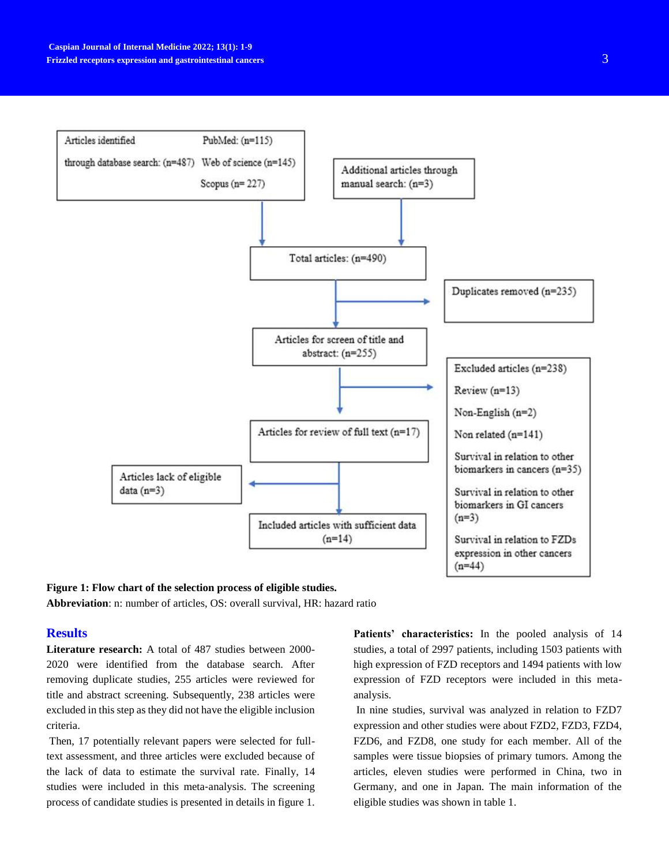

## **Figure 1: Flow chart of the selection process of eligible studies.**

**Abbreviation**: n: number of articles, OS: overall survival, HR: hazard ratio

### **Results**

**Literature research:** A total of 487 studies between 2000- 2020 were identified from the database search. After removing duplicate studies, 255 articles were reviewed for title and abstract screening. Subsequently, 238 articles were excluded in this step as they did not have the eligible inclusion criteria.

Then, 17 potentially relevant papers were selected for fulltext assessment, and three articles were excluded because of the lack of data to estimate the survival rate. Finally, 14 studies were included in this meta‐analysis. The screening process of candidate studies is presented in details in figure 1.

**Patients' characteristics:** In the pooled analysis of 14 studies, a total of 2997 patients, including 1503 patients with high expression of FZD receptors and 1494 patients with low expression of FZD receptors were included in this metaanalysis.

In nine studies, survival was analyzed in relation to FZD7 expression and other studies were about FZD2, FZD3, FZD4, FZD6, and FZD8, one study for each member. All of the samples were tissue biopsies of primary tumors. Among the articles, eleven studies were performed in China, two in Germany, and one in Japan. The main information of the eligible studies was shown in table 1.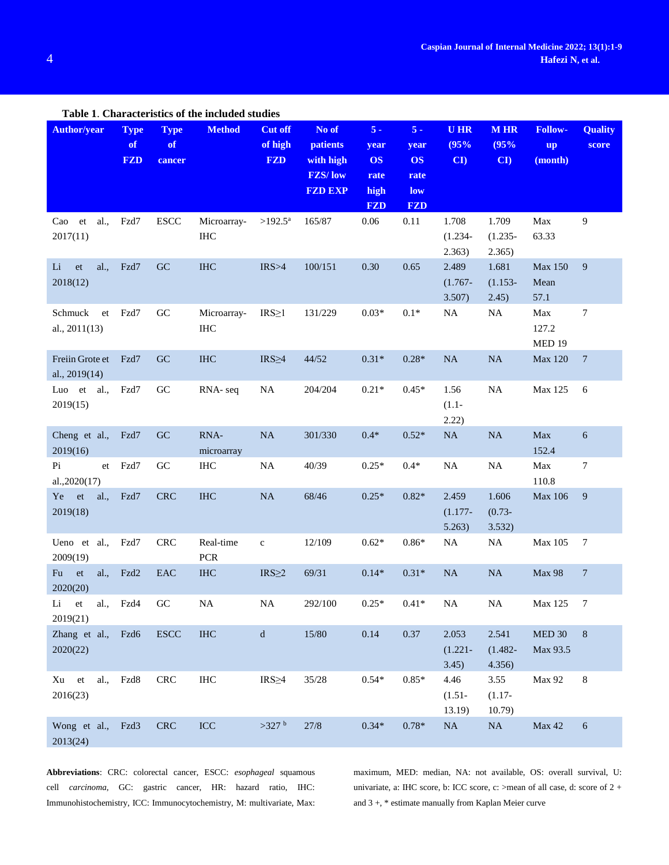| Table 1. Characteristics of the included studies |                                 |                             |                    |                                         |                                                                           |                                                          |                                                         |                               |                               |                                        |                         |
|--------------------------------------------------|---------------------------------|-----------------------------|--------------------|-----------------------------------------|---------------------------------------------------------------------------|----------------------------------------------------------|---------------------------------------------------------|-------------------------------|-------------------------------|----------------------------------------|-------------------------|
| <b>Author/year</b>                               | <b>Type</b><br>of<br><b>FZD</b> | <b>Type</b><br>of<br>cancer | <b>Method</b>      | <b>Cut off</b><br>of high<br><b>FZD</b> | No of<br><b>patients</b><br>with high<br><b>FZS/low</b><br><b>FZD EXP</b> | $5 -$<br>year<br><b>OS</b><br>rate<br>high<br><b>FZD</b> | $5 -$<br>year<br><b>OS</b><br>rate<br>low<br><b>FZD</b> | <b>UHR</b><br>(95%<br>CI      | <b>MHR</b><br>(95%<br>CI      | <b>Follow-</b><br><b>up</b><br>(month) | <b>Quality</b><br>score |
| al.,<br>Cao et<br>2017(11)                       | Fzd7                            | <b>ESCC</b>                 | Microarray-<br>IHC | $>192.5^{\rm a}$                        | 165/87                                                                    | 0.06                                                     | 0.11                                                    | 1.708<br>$(1.234 -$<br>2.363) | 1.709<br>$(1.235 -$<br>2.365) | Max<br>63.33                           | 9                       |
| al.<br>Li<br>et<br>2018(12)                      | Fzd7                            | GC                          | <b>IHC</b>         | IRS > 4                                 | 100/151                                                                   | 0.30                                                     | 0.65                                                    | 2.489<br>$(1.767 -$<br>3.507) | 1.681<br>$(1.153 -$<br>2.45)  | Max 150<br>Mean<br>57.1                | 9                       |
| Schmuck<br>et<br>al., 2011(13)                   | Fzd7                            | GC                          | Microarray-<br>IHC | $IRS \geq 1$                            | 131/229                                                                   | $0.03*$                                                  | $0.1*$                                                  | NA                            | NA                            | Max<br>127.2<br>MED 19                 | $\tau$                  |
| Freiin Grote et<br>al., 2019(14)                 | Fzd7                            | GC                          | <b>IHC</b>         | $IRS \geq 4$                            | 44/52                                                                     | $0.31*$                                                  | $0.28*$                                                 | NA                            | NA                            | Max 120                                | $\overline{7}$          |
| Luo et al.,<br>2019(15)                          | Fzd7                            | GC                          | RNA-seq            | <b>NA</b>                               | 204/204                                                                   | $0.21*$                                                  | $0.45*$                                                 | 1.56<br>$(1.1 -$<br>2.22)     | $\rm NA$                      | Max 125                                | 6                       |
| Cheng et al.,<br>2019(16)                        | Fzd7                            | GC                          | RNA-<br>microarray | <b>NA</b>                               | 301/330                                                                   | $0.4*$                                                   | $0.52*$                                                 | $\rm NA$                      | NA                            | Max<br>152.4                           | 6                       |
| Pi<br>et<br>al., 2020(17)                        | Fzd7                            | GC                          | IHC                | <b>NA</b>                               | 40/39                                                                     | $0.25*$                                                  | $0.4*$                                                  | $\rm NA$                      | $\rm NA$                      | Max<br>110.8                           | $\tau$                  |
| al.,<br>Ye<br>et<br>2019(18)                     | Fzd7                            | <b>CRC</b>                  | $\rm IHC$          | NA                                      | 68/46                                                                     | $0.25*$                                                  | $0.82*$                                                 | 2.459<br>$(1.177 -$<br>5.263) | 1.606<br>$(0.73 -$<br>3.532)  | Max 106                                | 9                       |
| Ueno et al.,<br>2009(19)                         | Fzd7                            | <b>CRC</b>                  | Real-time<br>PCR   | $\mathbf c$                             | 12/109                                                                    | $0.62*$                                                  | $0.86*$                                                 | $\rm NA$                      | $\rm NA$                      | Max 105                                | $\tau$                  |
| ${\it et}$<br>al.,<br>Fu<br>2020(20)             | Fzd2                            | EAC                         | $\rm IHC$          | $IRS \geq 2$                            | 69/31                                                                     | $0.14*$                                                  | $0.31*$                                                 | NA                            | NA                            | <b>Max 98</b>                          | $\boldsymbol{7}$        |
| Li<br>${\it et}$<br>al.,<br>2019(21)             | Fzd4                            | GC                          | $\rm NA$           | $\rm NA$                                | 292/100                                                                   | $0.25*$                                                  | $0.41*$                                                 | NA                            | $\rm NA$                      | Max 125                                | 7                       |
| Zhang et al.,<br>2020(22)                        | Fzd6                            | <b>ESCC</b>                 | <b>IHC</b>         | ${\bf d}$                               | 15/80                                                                     | 0.14                                                     | 0.37                                                    | 2.053<br>$(1.221 -$<br>3.45)  | 2.541<br>$(1.482 -$<br>4.356) | $\rm MED$ 30<br>Max 93.5               | $\,8\,$                 |
| al.,<br>Xu<br>et<br>2016(23)                     | Fzd8                            | ${\rm CRC}$                 | $\rm IHC$          | $IRS \geq 4$                            | 35/28                                                                     | $0.54*$                                                  | $0.85*$                                                 | 4.46<br>$(1.51 -$<br>13.19)   | 3.55<br>$(1.17 -$<br>10.79)   | <b>Max 92</b>                          | 8                       |
| Wong et al.,<br>2013(24)                         | Fzd3                            | CRC                         | ICC                | $>327$ b                                | 27/8                                                                      | $0.34*$                                                  | $0.78*$                                                 | $\rm NA$                      | $\rm NA$                      | Max 42                                 | 6                       |

**Abbreviations**: CRC: colorectal cancer, ESCC: *esophageal* squamous cell *carcinoma*, GC: gastric cancer, HR: hazard ratio, IHC: Immunohistochemistry, ICC: Immunocytochemistry, M: multivariate, Max:

maximum, MED: median, NA: not available, OS: overall survival, U: univariate, a: IHC score, b: ICC score, c: >mean of all case, d: score of 2 + and 3 +, \* estimate manually from Kaplan Meier curve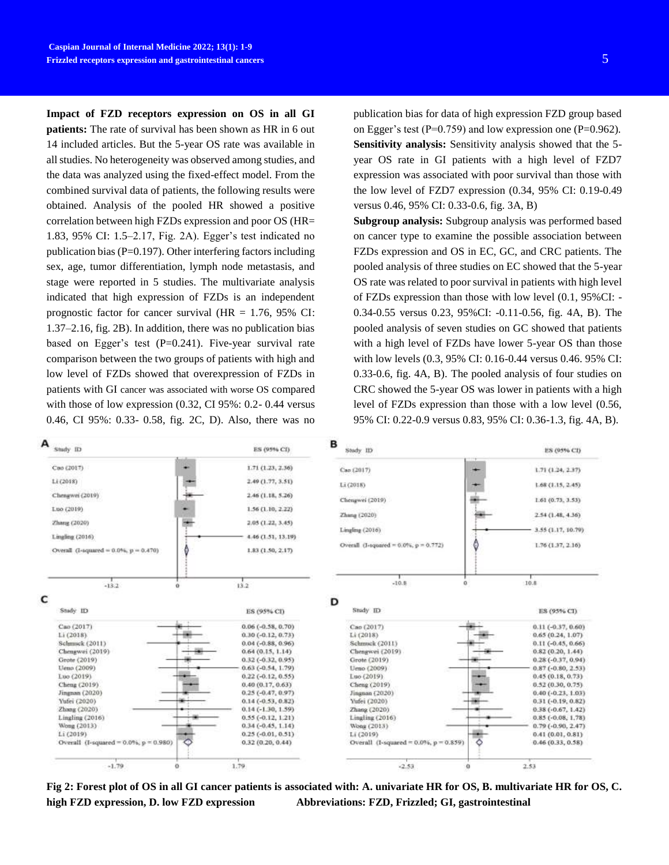**Impact of FZD receptors expression on OS in all GI patients:** The rate of survival has been shown as HR in 6 out 14 included articles. But the 5-year OS rate was available in all studies. No heterogeneity was observed among studies, and the data was analyzed using the fixed-effect model. From the combined survival data of patients, the following results were obtained. Analysis of the pooled HR showed a positive correlation between high FZDs expression and poor OS (HR= 1.83, 95% CI: 1.5–2.17, Fig. 2A). Egger's test indicated no publication bias (P=0.197). Other interfering factors including sex, age, tumor differentiation, lymph node metastasis, and stage were reported in 5 studies. The multivariate analysis indicated that high expression of FZDs is an independent prognostic factor for cancer survival (HR = 1.76, 95% CI: 1.37–2.16, fig. 2B). In addition, there was no publication bias based on Egger's test  $(P=0.241)$ . Five-year survival rate comparison between the two groups of patients with high and low level of FZDs showed that overexpression of FZDs in patients with GI cancer was associated with worse OS compared with those of low expression (0.32, CI 95%: 0.2- 0.44 versus 0.46, CI 95%: 0.33- 0.58, fig. 2C, D). Also, there was no

publication bias for data of high expression FZD group based on Egger's test ( $P=0.759$ ) and low expression one ( $P=0.962$ ). **Sensitivity analysis:** Sensitivity analysis showed that the 5 year OS rate in GI patients with a high level of FZD7 expression was associated with poor survival than those with the low level of FZD7 expression (0.34, 95% CI: 0.19-0.49 versus 0.46, 95% CI: 0.33-0.6, fig. 3A, B)

**Subgroup analysis:** Subgroup analysis was performed based on cancer type to examine the possible association between FZDs expression and OS in EC, GC, and CRC patients. The pooled analysis of three studies on EC showed that the 5-year OS rate was related to poor survival in patients with high level of FZDs expression than those with low level (0.1, 95%CI: - 0.34-0.55 versus 0.23, 95%CI: -0.11-0.56, fig. 4A, B). The pooled analysis of seven studies on GC showed that patients with a high level of FZDs have lower 5-year OS than those with low levels (0.3, 95% CI: 0.16-0.44 versus 0.46. 95% CI: 0.33-0.6, fig. 4A, B). The pooled analysis of four studies on CRC showed the 5-year OS was lower in patients with a high level of FZDs expression than those with a low level (0.56, 95% CI: 0.22-0.9 versus 0.83, 95% CI: 0.36-1.3, fig. 4A, B).



**Fig 2: Forest plot of OS in all GI cancer patients is associated with: A. univariate HR for OS, B. multivariate HR for OS, C. high FZD expression, D. low FZD expression Abbreviations: FZD, Frizzled; GI, gastrointestinal**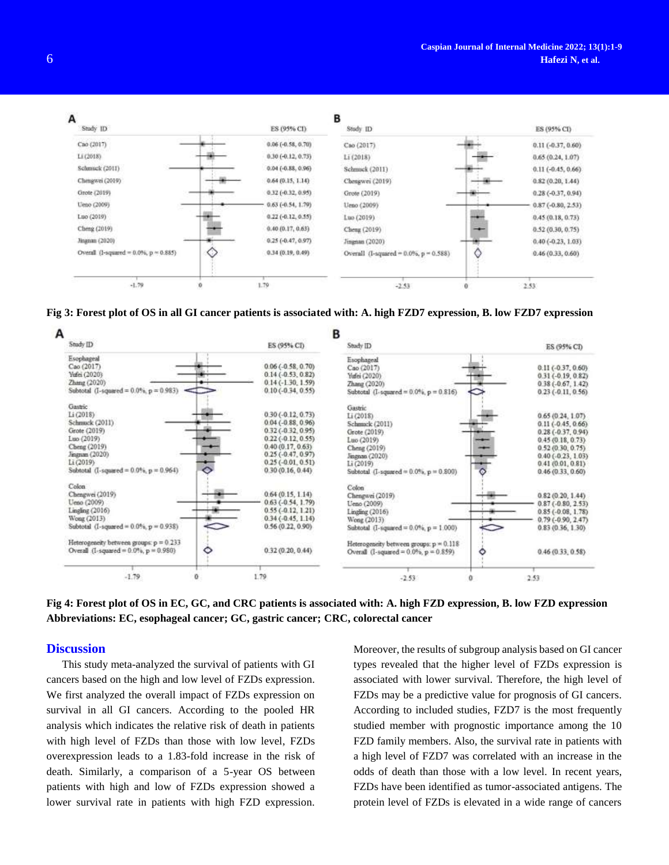

**Fig 3: Forest plot of OS in all GI cancer patients is associated with: A. high FZD7 expression, B. low FZD7 expression**



**Fig 4: Forest plot of OS in EC, GC, and CRC patients is associated with: A. high FZD expression, B. low FZD expression Abbreviations: EC, esophageal cancer; GC, gastric cancer; CRC, colorectal cancer**

### **Discussion**

This study meta-analyzed the survival of patients with GI cancers based on the high and low level of FZDs expression. We first analyzed the overall impact of FZDs expression on survival in all GI cancers. According to the pooled HR analysis which indicates the relative risk of death in patients with high level of FZDs than those with low level, FZDs overexpression leads to a 1.83-fold increase in the risk of death. Similarly, a comparison of a 5-year OS between patients with high and low of FZDs expression showed a lower survival rate in patients with high FZD expression.

Moreover, the results of subgroup analysis based on GI cancer types revealed that the higher level of FZDs expression is associated with lower survival. Therefore, the high level of FZDs may be a predictive value for prognosis of GI cancers. According to included studies, FZD7 is the most frequently studied member with prognostic importance among the 10 FZD family members. Also, the survival rate in patients with a high level of FZD7 was correlated with an increase in the odds of death than those with a low level. In recent years, FZDs have been identified as tumor-associated antigens. The protein level of FZDs is elevated in a wide range of cancers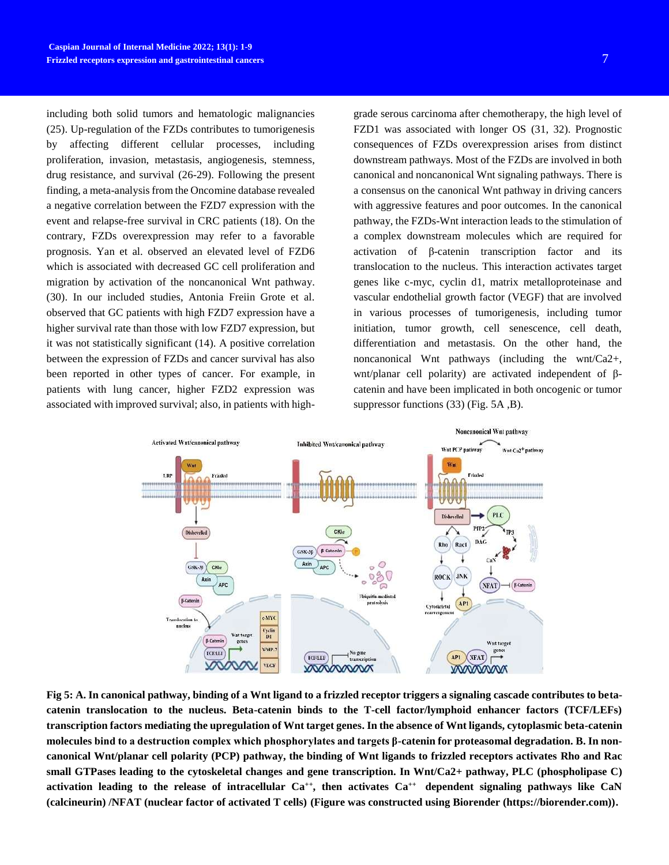including both solid tumors and hematologic malignancies [\(25\)](#page-8-9). Up-regulation of the FZDs contributes to tumorigenesis by affecting different cellular processes, including proliferation, invasion, metastasis, angiogenesis, stemness, drug resistance, and survival [\(26-29\)](#page-8-10). Following the present finding, a meta-analysis from the Oncomine database revealed a negative correlation between the FZD7 expression with the event and relapse-free survival in CRC patients [\(18\)](#page-8-2). On the contrary, FZDs overexpression may refer to a favorable prognosis. Yan et al. observed an elevated level of FZD6 which is associated with decreased GC cell proliferation and migration by activation of the noncanonical Wnt pathway. [\(30\)](#page-8-11). In our included studies, Antonia Freiin Grote et al. observed that GC patients with high FZD7 expression have a higher survival rate than those with low FZD7 expression, but it was not statistically significant [\(14\)](#page-7-8). A positive correlation between the expression of FZDs and cancer survival has also been reported in other types of cancer. For example, in patients with lung cancer, higher FZD2 expression was associated with improved survival; also, in patients with high-

grade serous carcinoma after chemotherapy, the high level of FZD1 was associated with longer OS [\(31,](#page-8-12) [32\)](#page-8-13). Prognostic consequences of FZDs overexpression arises from distinct downstream pathways. Most of the FZDs are involved in both canonical and noncanonical Wnt signaling pathways. There is a consensus on the canonical Wnt pathway in driving cancers with aggressive features and poor outcomes. In the canonical pathway, the FZDs-Wnt interaction leads to the stimulation of a complex downstream molecules which are required for activation of β-catenin transcription factor and its translocation to the nucleus. This interaction activates target genes like c-myc, cyclin d1, matrix metalloproteinase and vascular endothelial growth factor (VEGF) that are involved in various processes of tumorigenesis, including tumor initiation, tumor growth, cell senescence, cell death, differentiation and metastasis. On the other hand, the noncanonical Wnt pathways (including the wnt/Ca2+, wnt/planar cell polarity) are activated independent of βcatenin and have been implicated in both oncogenic or tumor suppressor functions [\(33\)](#page-8-14) (Fig. 5A ,B).



**Fig 5: A. In canonical pathway, binding of a Wnt ligand to a frizzled receptor triggers a signaling cascade contributes to betacatenin translocation to the nucleus. Beta-catenin binds to the T-cell factor/lymphoid enhancer factors (TCF/LEFs) transcription factors mediating the upregulation of Wnt target genes. In the absence of Wnt ligands, cytoplasmic beta-catenin molecules bind to a destruction complex which phosphorylates and targets β-catenin for proteasomal degradation. B. In noncanonical Wnt/planar cell polarity (PCP) pathway, the binding of Wnt ligands to frizzled receptors activates Rho and Rac small GTPases leading to the cytoskeletal changes and gene transcription. In Wnt/Ca2+ pathway, PLC (phospholipase C) activation leading to the release of intracellular Ca++, then activates Ca++ dependent signaling pathways like CaN (calcineurin) /NFAT (nuclear factor of activated T cells) (Figure was constructed using Biorender (https://biorender.com)).**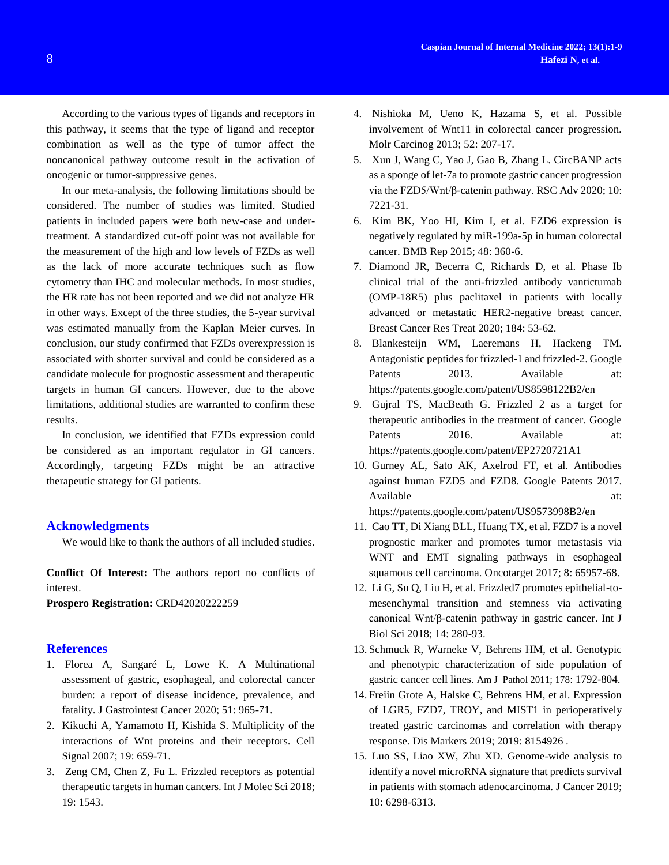According to the various types of ligands and receptors in this pathway, it seems that the type of ligand and receptor combination as well as the type of tumor affect the noncanonical pathway outcome result in the activation of oncogenic or tumor-suppressive genes.

In our meta-analysis, the following limitations should be considered. The number of studies was limited. Studied patients in included papers were both new-case and undertreatment. A standardized cut-off point was not available for the measurement of the high and low levels of FZDs as well as the lack of more accurate techniques such as flow cytometry than IHC and molecular methods. In most studies, the HR rate has not been reported and we did not analyze HR in other ways. Except of the three studies, the 5-year survival was estimated manually from the Kaplan–Meier curves. In conclusion, our study confirmed that FZDs overexpression is associated with shorter survival and could be considered as a candidate molecule for prognostic assessment and therapeutic targets in human GI cancers. However, due to the above limitations, additional studies are warranted to confirm these results.

In conclusion, we identified that FZDs expression could be considered as an important regulator in GI cancers. Accordingly, targeting FZDs might be an attractive therapeutic strategy for GI patients.

### **Acknowledgments**

We would like to thank the authors of all included studies.

**Conflict Of Interest:** The authors report no conflicts of interest.

**Prospero Registration:** CRD42020222259

### **References**

- <span id="page-7-0"></span>1. Florea A, Sangaré L, Lowe K. A Multinational assessment of gastric, esophageal, and colorectal cancer burden: a report of disease incidence, prevalence, and fatality. J Gastrointest Cancer 2020; 51: 965-71.
- <span id="page-7-1"></span>2. Kikuchi A, Yamamoto H, Kishida S. Multiplicity of the interactions of Wnt proteins and their receptors. Cell Signal 2007; 19: 659-71.
- <span id="page-7-2"></span>3. Zeng CM, Chen Z, Fu L. Frizzled receptors as potential therapeutic targets in human cancers. Int J Molec Sci 2018; 19: 1543.
- <span id="page-7-3"></span>4. Nishioka M, Ueno K, Hazama S, et al. Possible involvement of Wnt11 in colorectal cancer progression. Molr Carcinog 2013; 52: 207-17.
- 5. Xun J, Wang C, Yao J, Gao B, Zhang L. CircBANP acts as a sponge of let-7a to promote gastric cancer progression via the FZD5/Wnt/β-catenin pathway. RSC Adv 2020; 10: 7221-31.
- 6. Kim BK, Yoo HI, Kim I, et al. FZD6 expression is negatively regulated by miR-199a-5p in human colorectal cancer. BMB Rep 2015; 48: 360-6.
- <span id="page-7-4"></span>7. Diamond JR, Becerra C, Richards D, et al. Phase Ib clinical trial of the anti-frizzled antibody vantictumab (OMP-18R5) plus paclitaxel in patients with locally advanced or metastatic HER2-negative breast cancer. Breast Cancer Res Treat 2020; 184: 53-62.
- 8. Blankesteijn WM, Laeremans H, Hackeng TM. Antagonistic peptides for frizzled-1 and frizzled-2. Google Patents 2013. Available at: https://patents.google.com/patent/US8598122B2/en
- 9. Gujral TS, MacBeath G. Frizzled 2 as a target for therapeutic antibodies in the treatment of cancer. Google Patents 2016. Available at: https://patents.google.com/patent/EP2720721A1
- 10. Gurney AL, Sato AK, Axelrod FT, et al. Antibodies against human FZD5 and FZD8. Google Patents 2017. Available at: https://patents.google.com/patent/US9573998B2/en
- <span id="page-7-5"></span>11. Cao TT, Di Xiang BLL, Huang TX, et al. FZD7 is a novel prognostic marker and promotes tumor metastasis via WNT and EMT signaling pathways in esophageal squamous cell carcinoma. Oncotarget 2017; 8: 65957-68.
- <span id="page-7-6"></span>12. Li G, Su Q, Liu H, et al. Frizzled7 promotes epithelial-tomesenchymal transition and stemness via activating canonical Wnt/β-catenin pathway in gastric cancer. Int J Biol Sci 2018; 14: 280-93.
- <span id="page-7-7"></span>13. Schmuck R, Warneke V, Behrens HM, et al. Genotypic and phenotypic characterization of side population of gastric cancer cell lines. Am J Pathol 2011; 178: 1792-804.
- <span id="page-7-8"></span>14. Freiin Grote A, Halske C, Behrens HM, et al. Expression of LGR5, FZD7, TROY, and MIST1 in perioperatively treated gastric carcinomas and correlation with therapy response. Dis Markers 2019; 2019: 8154926 .
- <span id="page-7-9"></span>15. Luo SS, Liao XW, Zhu XD. Genome-wide analysis to identify a novel microRNA signature that predicts survival in patients with stomach adenocarcinoma. J Cancer 2019; 10: 6298-6313.